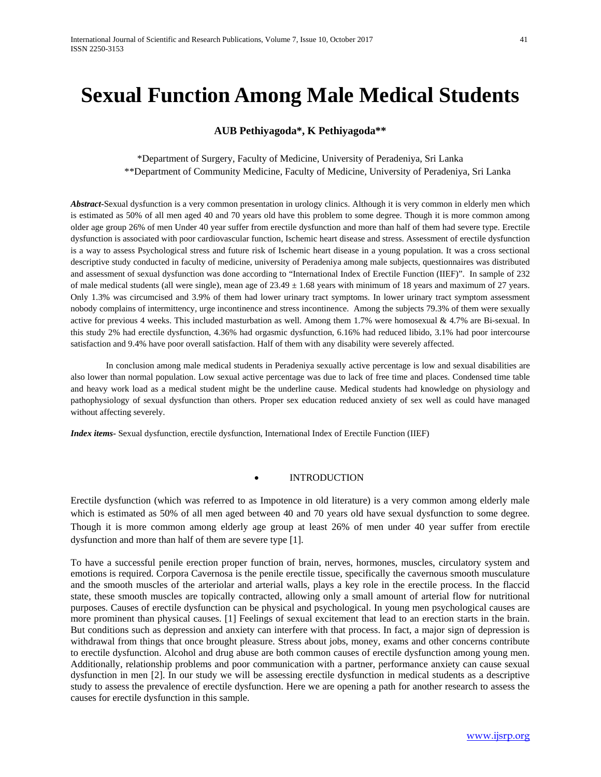# **Sexual Function Among Male Medical Students**

## **AUB Pethiyagoda\*, K Pethiyagoda\*\***

\*Department of Surgery, Faculty of Medicine, University of Peradeniya, Sri Lanka \*\*Department of Community Medicine, Faculty of Medicine, University of Peradeniya, Sri Lanka

*Abstract***-**Sexual dysfunction is a very common presentation in urology clinics. Although it is very common in elderly men which is estimated as 50% of all men aged 40 and 70 years old have this problem to some degree. Though it is more common among older age group 26% of men Under 40 year suffer from erectile dysfunction and more than half of them had severe type. Erectile dysfunction is associated with poor cardiovascular function, Ischemic heart disease and stress. Assessment of erectile dysfunction is a way to assess Psychological stress and future risk of Ischemic heart disease in a young population. It was a cross sectional descriptive study conducted in faculty of medicine, university of Peradeniya among male subjects, questionnaires was distributed and assessment of sexual dysfunction was done according to "International Index of Erectile Function (IIEF)". In sample of 232 of male medical students (all were single), mean age of  $23.49 \pm 1.68$  years with minimum of 18 years and maximum of 27 years. Only 1.3% was circumcised and 3.9% of them had lower urinary tract symptoms. In lower urinary tract symptom assessment nobody complains of intermittency, urge incontinence and stress incontinence. Among the subjects 79.3% of them were sexually active for previous 4 weeks. This included masturbation as well. Among them 1.7% were homosexual & 4.7% are Bi-sexual. In this study 2% had erectile dysfunction, 4.36% had orgasmic dysfunction, 6.16% had reduced libido, 3.1% had poor intercourse satisfaction and 9.4% have poor overall satisfaction. Half of them with any disability were severely affected.

In conclusion among male medical students in Peradeniya sexually active percentage is low and sexual disabilities are also lower than normal population. Low sexual active percentage was due to lack of free time and places. Condensed time table and heavy work load as a medical student might be the underline cause. Medical students had knowledge on physiology and pathophysiology of sexual dysfunction than others. Proper sex education reduced anxiety of sex well as could have managed without affecting severely.

*Index items-* Sexual dysfunction, erectile dysfunction, International Index of Erectile Function (IIEF)

#### **INTRODUCTION**

Erectile dysfunction (which was referred to as Impotence in old literature) is a very common among elderly male which is estimated as 50% of all men aged between 40 and 70 years old have sexual dysfunction to some degree. Though it is more common among elderly age group at least 26% of men under 40 year suffer from erectile dysfunction and more than half of them are severe type [1].

To have a successful penile erection proper function of brain, nerves, hormones, muscles, circulatory system and emotions is required. Corpora Cavernosa is the penile erectile tissue, specifically the cavernous smooth musculature and the smooth muscles of the arteriolar and arterial walls, plays a key role in the erectile process. In the flaccid state, these smooth muscles are topically contracted, allowing only a small amount of arterial flow for nutritional purposes. Causes of erectile dysfunction can be physical and psychological. In young men psychological causes are more prominent than physical causes. [1] Feelings of sexual excitement that lead to an erection starts in the brain. But conditions such as depression and anxiety can interfere with that process. In fact, a major sign of depression is withdrawal from things that once brought pleasure. Stress about jobs, money, exams and other concerns contribute to erectile dysfunction. Alcohol and drug abuse are both common causes of erectile dysfunction among young men. Additionally, relationship problems and poor communication with a partner, performance anxiety can cause sexual dysfunction in men [2]. In our study we will be assessing erectile dysfunction in medical students as a descriptive study to assess the prevalence of erectile dysfunction. Here we are opening a path for another research to assess the causes for erectile dysfunction in this sample.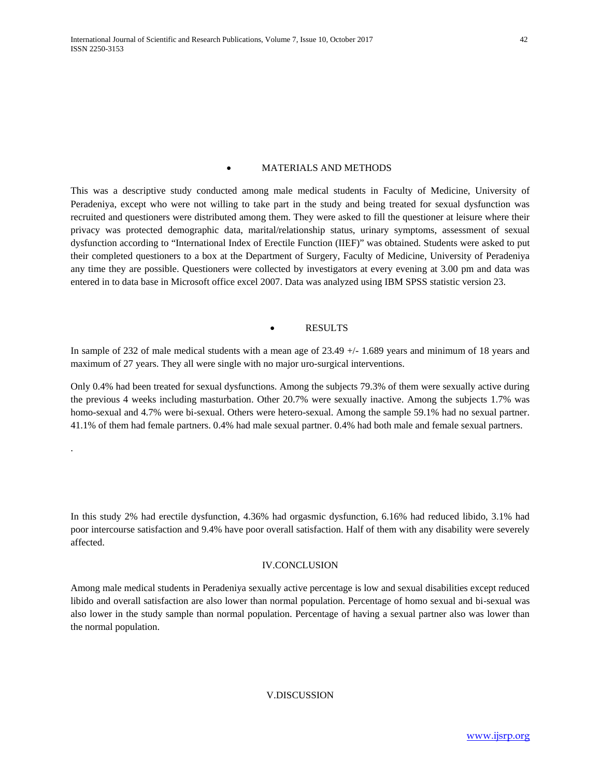.

#### • MATERIALS AND METHODS

This was a descriptive study conducted among male medical students in Faculty of Medicine, University of Peradeniya, except who were not willing to take part in the study and being treated for sexual dysfunction was recruited and questioners were distributed among them. They were asked to fill the questioner at leisure where their privacy was protected demographic data, marital/relationship status, urinary symptoms, assessment of sexual dysfunction according to "International Index of Erectile Function (IIEF)" was obtained. Students were asked to put their completed questioners to a box at the Department of Surgery, Faculty of Medicine, University of Peradeniya any time they are possible. Questioners were collected by investigators at every evening at 3.00 pm and data was entered in to data base in Microsoft office excel 2007. Data was analyzed using IBM SPSS statistic version 23.

#### **RESULTS**

In sample of 232 of male medical students with a mean age of 23.49  $+/- 1.689$  years and minimum of 18 years and maximum of 27 years. They all were single with no major uro-surgical interventions.

Only 0.4% had been treated for sexual dysfunctions. Among the subjects 79.3% of them were sexually active during the previous 4 weeks including masturbation. Other 20.7% were sexually inactive. Among the subjects 1.7% was homo-sexual and 4.7% were bi-sexual. Others were hetero-sexual. Among the sample 59.1% had no sexual partner. 41.1% of them had female partners. 0.4% had male sexual partner. 0.4% had both male and female sexual partners.

In this study 2% had erectile dysfunction, 4.36% had orgasmic dysfunction, 6.16% had reduced libido, 3.1% had poor intercourse satisfaction and 9.4% have poor overall satisfaction. Half of them with any disability were severely affected.

#### IV.CONCLUSION

Among male medical students in Peradeniya sexually active percentage is low and sexual disabilities except reduced libido and overall satisfaction are also lower than normal population. Percentage of homo sexual and bi-sexual was also lower in the study sample than normal population. Percentage of having a sexual partner also was lower than the normal population.

### V.DISCUSSION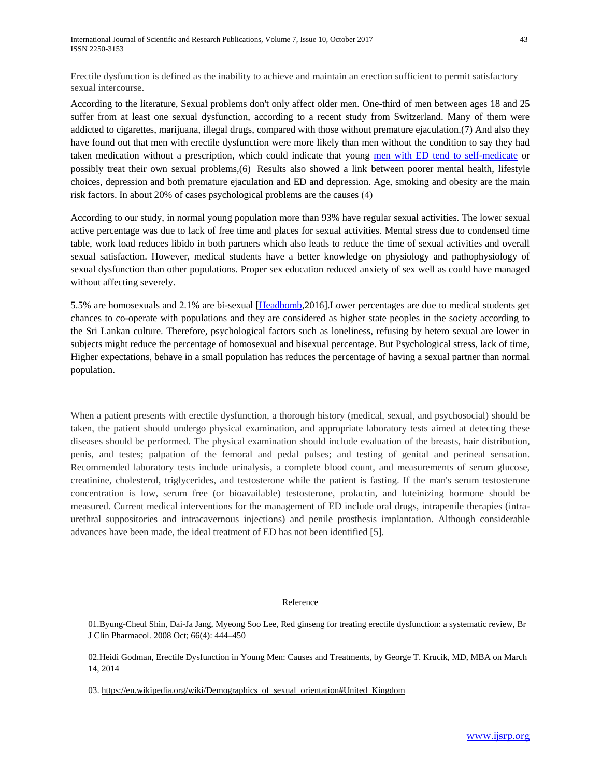Erectile dysfunction is defined as the inability to achieve and maintain an erection sufficient to permit satisfactory sexual intercourse.

According to the literature, Sexual problems don't only affect older men. One-third of men between ages 18 and 25 suffer from at least one sexual dysfunction, according to a recent study from Switzerland. Many of them were addicted to cigarettes, marijuana, illegal drugs, compared with those without premature ejaculation.(7) And also they have found out that men with erectile dysfunction were more likely than men without the condition to say they had taken medication without a prescription, which could indicate that young [men with ED tend to self-medicate](http://www.livescience.com/20407-unneeded-erection-pills-mens-sex-lives.html) or possibly treat their own sexual problems,(6) Results also showed a link between poorer mental health, lifestyle choices, depression and both premature ejaculation and ED and depression. Age, smoking and obesity are the main risk factors. In about 20% of cases psychological problems are the causes (4)

According to our study, in normal young population more than 93% have regular sexual activities. The lower sexual active percentage was due to lack of free time and places for sexual activities. Mental stress due to condensed time table, work load reduces libido in both partners which also leads to reduce the time of sexual activities and overall sexual satisfaction. However, medical students have a better knowledge on physiology and pathophysiology of sexual dysfunction than other populations. Proper sex education reduced anxiety of sex well as could have managed without affecting severely.

5.5% are homosexuals and 2.1% are bi-sexual [\[Headbomb,](https://en.wikipedia.org/wiki/User:Headbomb)2016].Lower percentages are due to medical students get chances to co-operate with populations and they are considered as higher state peoples in the society according to the Sri Lankan culture. Therefore, psychological factors such as loneliness, refusing by hetero sexual are lower in subjects might reduce the percentage of homosexual and bisexual percentage. But Psychological stress, lack of time, Higher expectations, behave in a small population has reduces the percentage of having a sexual partner than normal population.

When a patient presents with erectile dysfunction, a thorough history (medical, sexual, and psychosocial) should be taken, the patient should undergo physical examination, and appropriate laboratory tests aimed at detecting these diseases should be performed. The physical examination should include evaluation of the breasts, hair distribution, penis, and testes; palpation of the femoral and pedal pulses; and testing of genital and perineal sensation. Recommended laboratory tests include urinalysis, a complete blood count, and measurements of serum glucose, creatinine, cholesterol, triglycerides, and testosterone while the patient is fasting. If the man's serum testosterone concentration is low, serum free (or bioavailable) testosterone, prolactin, and luteinizing hormone should be measured. Current medical interventions for the management of ED include oral drugs, intrapenile therapies (intraurethral suppositories and intracavernous injections) and penile prosthesis implantation. Although considerable advances have been made, the ideal treatment of ED has not been identified [5].

#### Reference

01.Byung-Cheul Shin, Dai-Ja Jang, Myeong Soo Lee, Red ginseng for treating erectile dysfunction: a systematic review, Br J Clin Pharmacol. 2008 Oct; 66(4): 444–450

02.Heidi Godman, Erectile Dysfunction in Young Men: Causes and Treatments, by George T. Krucik, MD, MBA on March 14, 2014

03. [https://en.wikipedia.org/wiki/Demographics\\_of\\_sexual\\_orientation#United\\_Kingdom](https://en.wikipedia.org/wiki/Demographics_of_sexual_orientation)